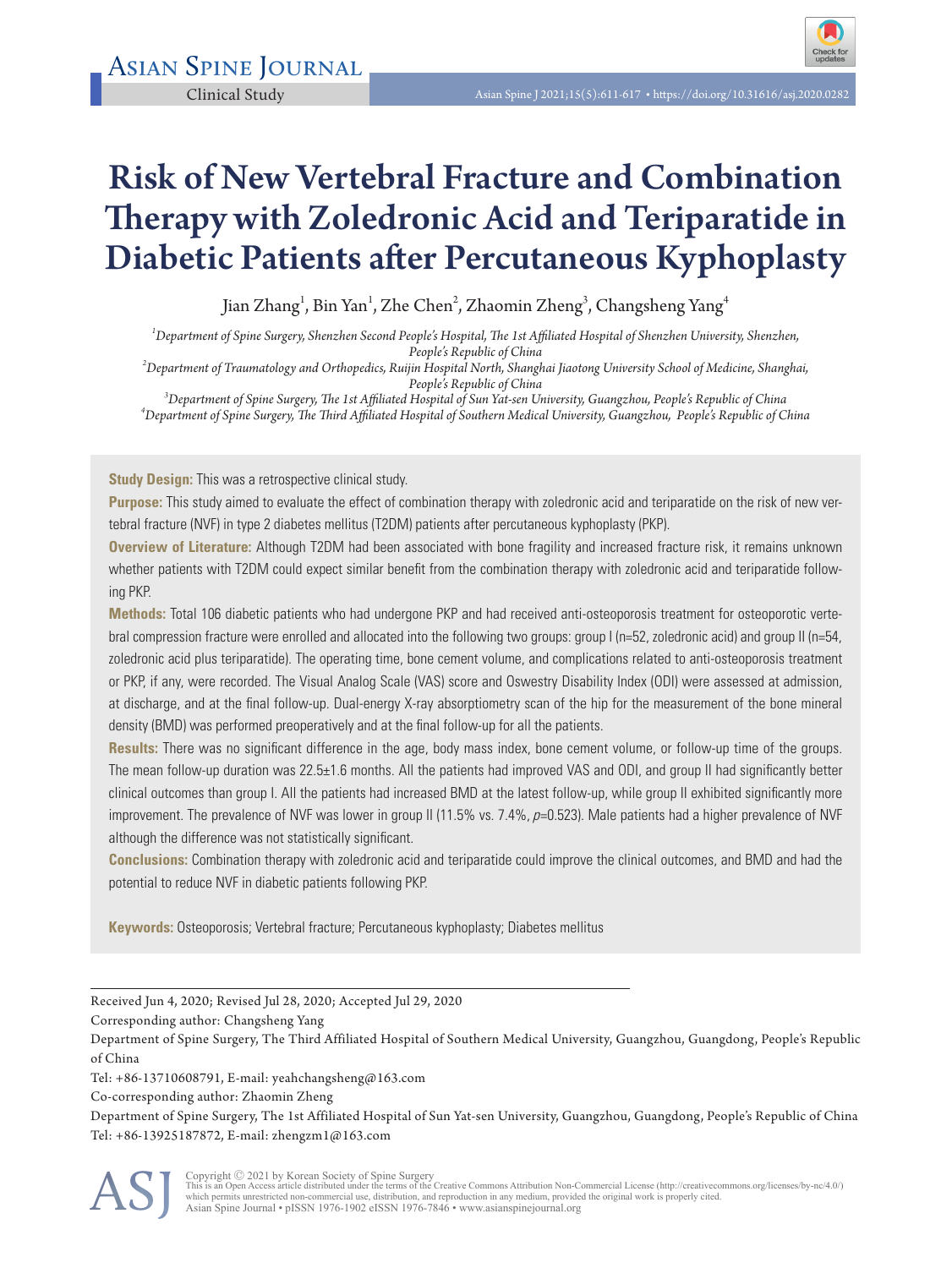

# Risk of New Vertebral Fracture and Combination Therapy with Zoledronic Acid and Teriparatide in Diabetic Patients after Percutaneous Kyphoplasty

Jian Zhang $^{\rm l}$ , Bin Yan $^{\rm l}$ , Zhe Chen $^{\rm 2}$ , Zhaomin Zheng $^{\rm 3}$ , Changsheng Yang $^{\rm 4}$ 

*1 Department of Spine Surgery, Shenzhen Second People's Hospital, The 1st Affiliated Hospital of Shenzhen University, Shenzhen,* 

*People's Republic of China <sup>2</sup> Department of Traumatology and Orthopedics, Ruijin Hospital North, Shanghai Jiaotong University School of Medicine, Shanghai,*  People's Republic of China<br><sup>3</sup>Danartmart of Snina Surcam: The Let Affiliated Hoewital of Sun Vet can U

*Department of Spine Surgery, The 1st Affiliated Hospital of Sun Yat-sen University, Guangzhou, People's Republic of China <sup>4</sup> Department of Spine Surgery, The Third Affiliated Hospital of Southern Medical University, Guangzhou, People's Republic of China*

**Study Design:** This was a retrospective clinical study.

**Purpose:** This study aimed to evaluate the effect of combination therapy with zoledronic acid and teriparatide on the risk of new vertebral fracture (NVF) in type 2 diabetes mellitus (T2DM) patients after percutaneous kyphoplasty (PKP).

**Overview of Literature:** Although T2DM had been associated with bone fragility and increased fracture risk, it remains unknown whether patients with T2DM could expect similar benefit from the combination therapy with zoledronic acid and teriparatide following PKP.

**Methods:** Total 106 diabetic patients who had undergone PKP and had received anti-osteoporosis treatment for osteoporotic vertebral compression fracture were enrolled and allocated into the following two groups: group I (n=52, zoledronic acid) and group II (n=54, zoledronic acid plus teriparatide). The operating time, bone cement volume, and complications related to anti-osteoporosis treatment or PKP, if any, were recorded. The Visual Analog Scale (VAS) score and Oswestry Disability Index (ODI) were assessed at admission, at discharge, and at the final follow-up. Dual-energy X-ray absorptiometry scan of the hip for the measurement of the bone mineral density (BMD) was performed preoperatively and at the final follow-up for all the patients.

**Results:** There was no significant difference in the age, body mass index, bone cement volume, or follow-up time of the groups. The mean follow-up duration was 22.5±1.6 months. All the patients had improved VAS and ODI, and group II had significantly better clinical outcomes than group I. All the patients had increased BMD at the latest follow-up, while group II exhibited significantly more improvement. The prevalence of NVF was lower in group II (11.5% vs. 7.4%, p=0.523). Male patients had a higher prevalence of NVF although the difference was not statistically significant.

**Conclusions:** Combination therapy with zoledronic acid and teriparatide could improve the clinical outcomes, and BMD and had the potential to reduce NVF in diabetic patients following PKP.

**Keywords:** Osteoporosis; Vertebral fracture; Percutaneous kyphoplasty; Diabetes mellitus

Received Jun 4, 2020; Revised Jul 28, 2020; Accepted Jul 29, 2020

Corresponding author: Changsheng Yang

Department of Spine Surgery, The Third Affiliated Hospital of Southern Medical University, Guangzhou, Guangdong, People's Republic of China

Tel: +86-13710608791, E-mail: yeahchangsheng@163.com

Co-corresponding author: Zhaomin Zheng

Department of Spine Surgery, The 1st Affiliated Hospital of Sun Yat-sen University, Guangzhou, Guangdong, People's Republic of China Tel: +86-13925187872, E-mail: zhengzm1@163.com

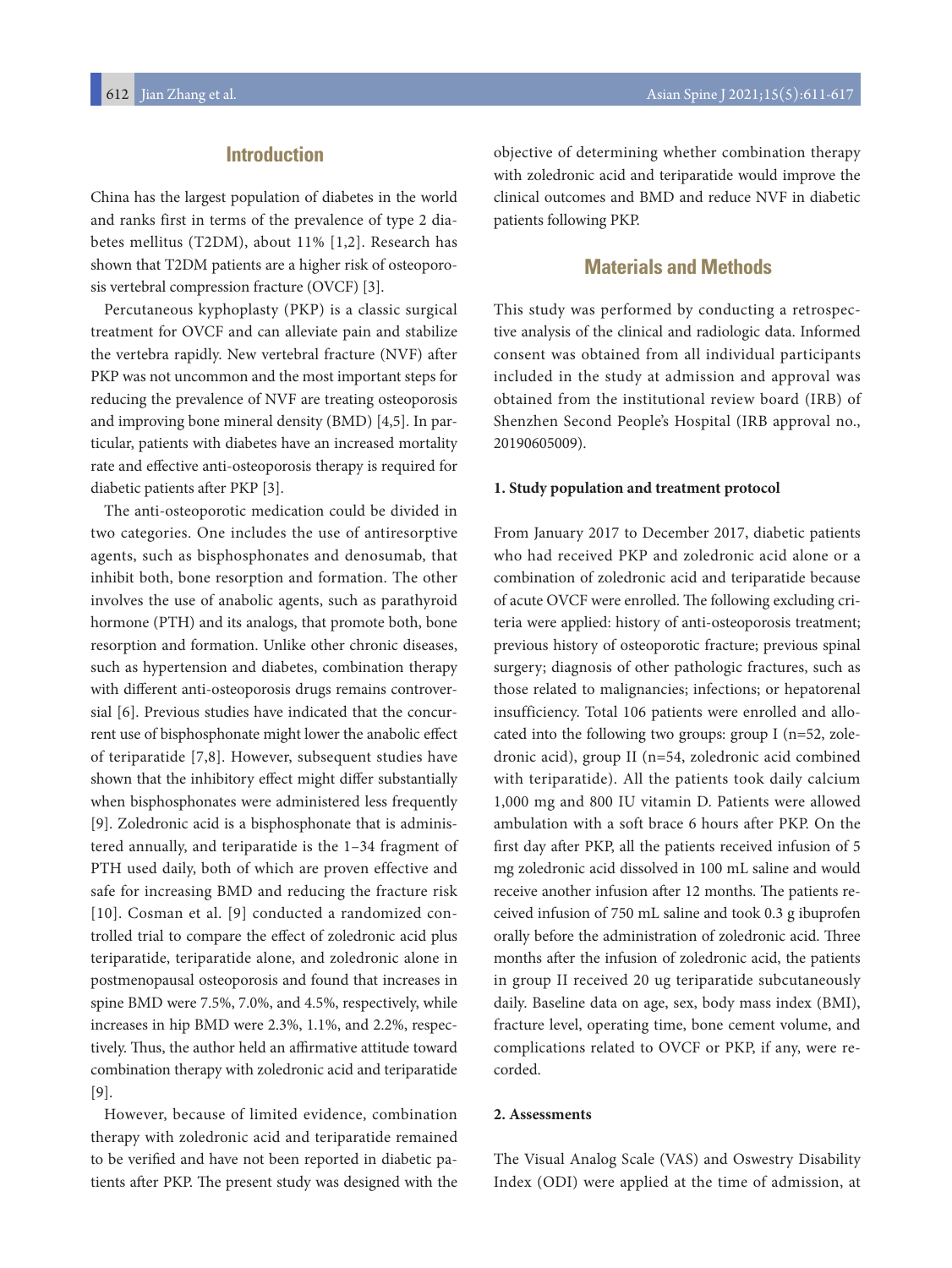# **Introduction**

China has the largest population of diabetes in the world and ranks first in terms of the prevalence of type 2 diabetes mellitus (T2DM), about 11% [1,2]. Research has shown that T2DM patients are a higher risk of osteoporosis vertebral compression fracture (OVCF) [3].

Percutaneous kyphoplasty (PKP) is a classic surgical treatment for OVCF and can alleviate pain and stabilize the vertebra rapidly. New vertebral fracture (NVF) after PKP was not uncommon and the most important steps for reducing the prevalence of NVF are treating osteoporosis and improving bone mineral density (BMD) [4,5]. In particular, patients with diabetes have an increased mortality rate and effective anti-osteoporosis therapy is required for diabetic patients after PKP [3].

The anti-osteoporotic medication could be divided in two categories. One includes the use of antiresorptive agents, such as bisphosphonates and denosumab, that inhibit both, bone resorption and formation. The other involves the use of anabolic agents, such as parathyroid hormone (PTH) and its analogs, that promote both, bone resorption and formation. Unlike other chronic diseases, such as hypertension and diabetes, combination therapy with different anti-osteoporosis drugs remains controversial [6]. Previous studies have indicated that the concurrent use of bisphosphonate might lower the anabolic effect of teriparatide [7,8]. However, subsequent studies have shown that the inhibitory effect might differ substantially when bisphosphonates were administered less frequently [9]. Zoledronic acid is a bisphosphonate that is administered annually, and teriparatide is the 1–34 fragment of PTH used daily, both of which are proven effective and safe for increasing BMD and reducing the fracture risk [10]. Cosman et al. [9] conducted a randomized controlled trial to compare the effect of zoledronic acid plus teriparatide, teriparatide alone, and zoledronic alone in postmenopausal osteoporosis and found that increases in spine BMD were 7.5%, 7.0%, and 4.5%, respectively, while increases in hip BMD were 2.3%, 1.1%, and 2.2%, respectively. Thus, the author held an affirmative attitude toward combination therapy with zoledronic acid and teriparatide [9].

However, because of limited evidence, combination therapy with zoledronic acid and teriparatide remained to be verified and have not been reported in diabetic patients after PKP. The present study was designed with the objective of determining whether combination therapy with zoledronic acid and teriparatide would improve the clinical outcomes and BMD and reduce NVF in diabetic patients following PKP.

# **Materials and Methods**

This study was performed by conducting a retrospective analysis of the clinical and radiologic data. Informed consent was obtained from all individual participants included in the study at admission and approval was obtained from the institutional review board (IRB) of Shenzhen Second People's Hospital (IRB approval no., 20190605009).

#### **1. Study population and treatment protocol**

From January 2017 to December 2017, diabetic patients who had received PKP and zoledronic acid alone or a combination of zoledronic acid and teriparatide because of acute OVCF were enrolled. The following excluding criteria were applied: history of anti-osteoporosis treatment; previous history of osteoporotic fracture; previous spinal surgery; diagnosis of other pathologic fractures, such as those related to malignancies; infections; or hepatorenal insufficiency. Total 106 patients were enrolled and allocated into the following two groups: group I (n=52, zoledronic acid), group II (n=54, zoledronic acid combined with teriparatide). All the patients took daily calcium 1,000 mg and 800 IU vitamin D. Patients were allowed ambulation with a soft brace 6 hours after PKP. On the first day after PKP, all the patients received infusion of 5 mg zoledronic acid dissolved in 100 mL saline and would receive another infusion after 12 months. The patients received infusion of 750 mL saline and took 0.3 g ibuprofen orally before the administration of zoledronic acid. Three months after the infusion of zoledronic acid, the patients in group II received 20 ug teriparatide subcutaneously daily. Baseline data on age, sex, body mass index (BMI), fracture level, operating time, bone cement volume, and complications related to OVCF or PKP, if any, were recorded.

#### **2. Assessments**

The Visual Analog Scale (VAS) and Oswestry Disability Index (ODI) were applied at the time of admission, at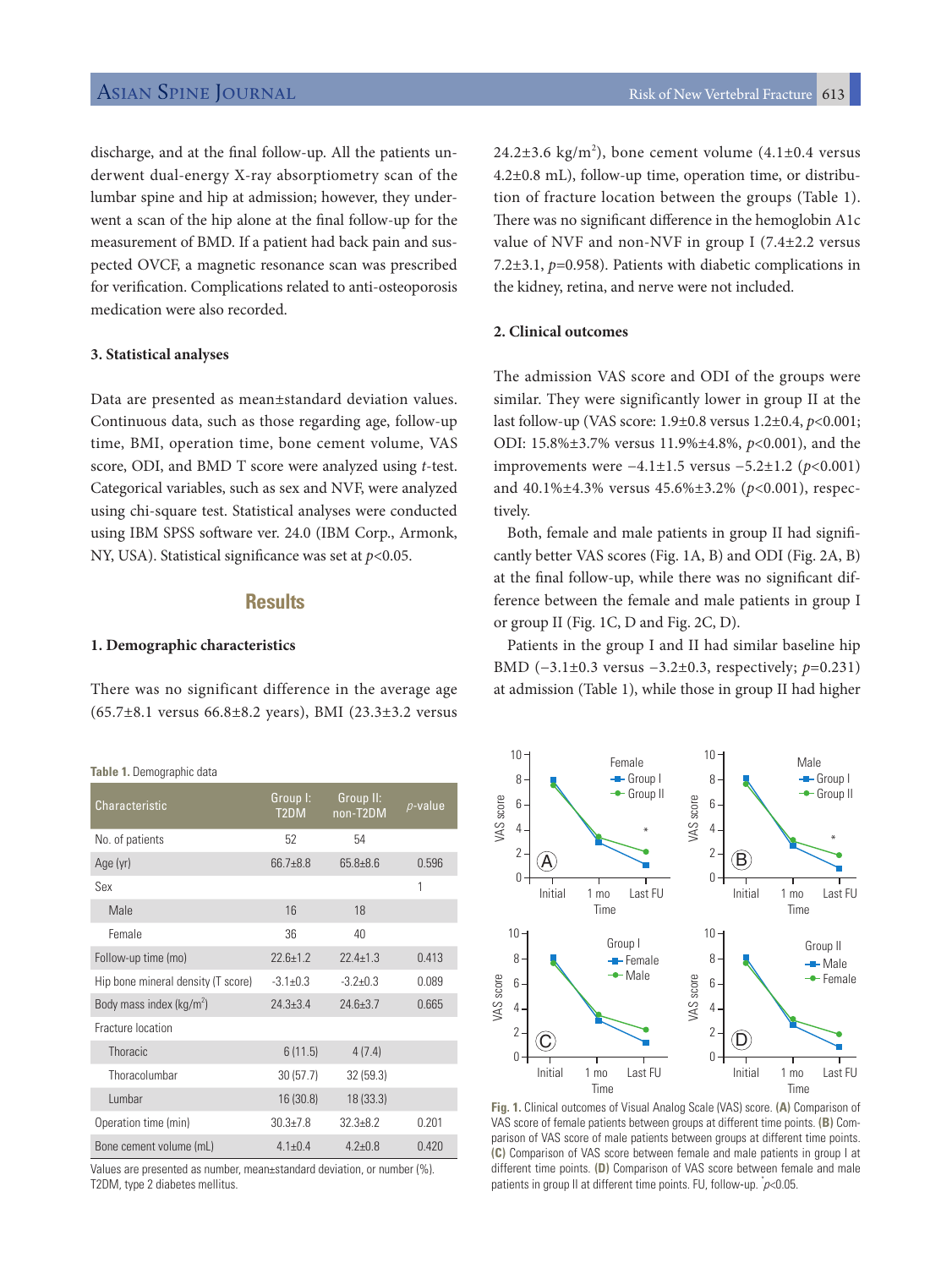discharge, and at the final follow-up. All the patients underwent dual-energy X-ray absorptiometry scan of the lumbar spine and hip at admission; however, they underwent a scan of the hip alone at the final follow-up for the measurement of BMD. If a patient had back pain and suspected OVCF, a magnetic resonance scan was prescribed for verification. Complications related to anti-osteoporosis medication were also recorded.

#### **3. Statistical analyses**

Data are presented as mean±standard deviation values. Continuous data, such as those regarding age, follow-up time, BMI, operation time, bone cement volume, VAS score, ODI, and BMD T score were analyzed using *t*-test. Categorical variables, such as sex and NVF, were analyzed using chi-square test. Statistical analyses were conducted using IBM SPSS software ver. 24.0 (IBM Corp., Armonk, NY, USA). Statistical significance was set at *p*<0.05.

# **Results**

#### **1. Demographic characteristics**

There was no significant difference in the average age (65.7±8.1 versus 66.8±8.2 years), BMI (23.3±3.2 versus

**Table 1.** Demographic data

| Characteristic                     | Group I:<br>T <sub>2</sub> DM | Group II:<br>non-T2DM | $p$ -value |
|------------------------------------|-------------------------------|-----------------------|------------|
| No. of patients                    | 52                            | 54                    |            |
| Age (yr)                           | $66.7 + 8.8$                  | $65.8 + 8.6$          | 0.596      |
| Sex                                |                               |                       | 1          |
| Male                               | 16                            | 18                    |            |
| Female                             | 36                            | 40                    |            |
| Follow-up time (mo)                | $226+12$                      | $224+13$              | 0.413      |
| Hip bone mineral density (T score) | $-31+0.3$                     | $-37+0.3$             | 0.089      |
| Body mass index ( $kg/m2$ )        | $24.3 + 3.4$                  | $246 + 37$            | 0 665      |
| Fracture location                  |                               |                       |            |
| <b>Thoracic</b>                    | 6(11.5)                       | 4(7.4)                |            |
| Thoracolumbar                      | 30(57.7)                      | 32(59.3)              |            |
| Lumbar                             | 16 (30.8)                     | 18 (33.3)             |            |
| Operation time (min)               | $30.3 + 7.8$                  | $32.3 + 8.2$          | 0.201      |
| Bone cement volume (mL)            | $41+04$                       | $47+08$               | 0420       |

Values are presented as number, mean±standard deviation, or number (%). T2DM, type 2 diabetes mellitus.

 $24.2\pm3.6$  kg/m<sup>2</sup>), bone cement volume  $(4.1\pm0.4$  versus 4.2±0.8 mL), follow-up time, operation time, or distribution of fracture location between the groups (Table 1). There was no significant difference in the hemoglobin A1c value of NVF and non-NVF in group I (7.4±2.2 versus 7.2±3.1, *p*=0.958). Patients with diabetic complications in the kidney, retina, and nerve were not included.

### **2. Clinical outcomes**

The admission VAS score and ODI of the groups were similar. They were significantly lower in group II at the last follow-up (VAS score: 1.9±0.8 versus 1.2±0.4, *p*<0.001; ODI: 15.8%±3.7% versus 11.9%±4.8%, *p*<0.001), and the improvements were −4.1±1.5 versus −5.2±1.2 (*p*<0.001) and 40.1%±4.3% versus 45.6%±3.2% (*p*<0.001), respectively.

Both, female and male patients in group II had significantly better VAS scores (Fig. 1A, B) and ODI (Fig. 2A, B) at the final follow-up, while there was no significant difference between the female and male patients in group I or group II (Fig. 1C, D and Fig. 2C, D).

Patients in the group I and II had similar baseline hip BMD (−3.1±0.3 versus −3.2±0.3, respectively; *p*=0.231) at admission (Table 1), while those in group II had higher



**Fig. 1.** Clinical outcomes of Visual Analog Scale (VAS) score. **(A)** Comparison of VAS score of female patients between groups at different time points. **(B)** Comparison of VAS score of male patients between groups at different time points. **(C)** Comparison of VAS score between female and male patients in group I at different time points. **(D)** Comparison of VAS score between female and male patients in group II at different time points. FU, follow-up.  $\check{j}$  < 0.05.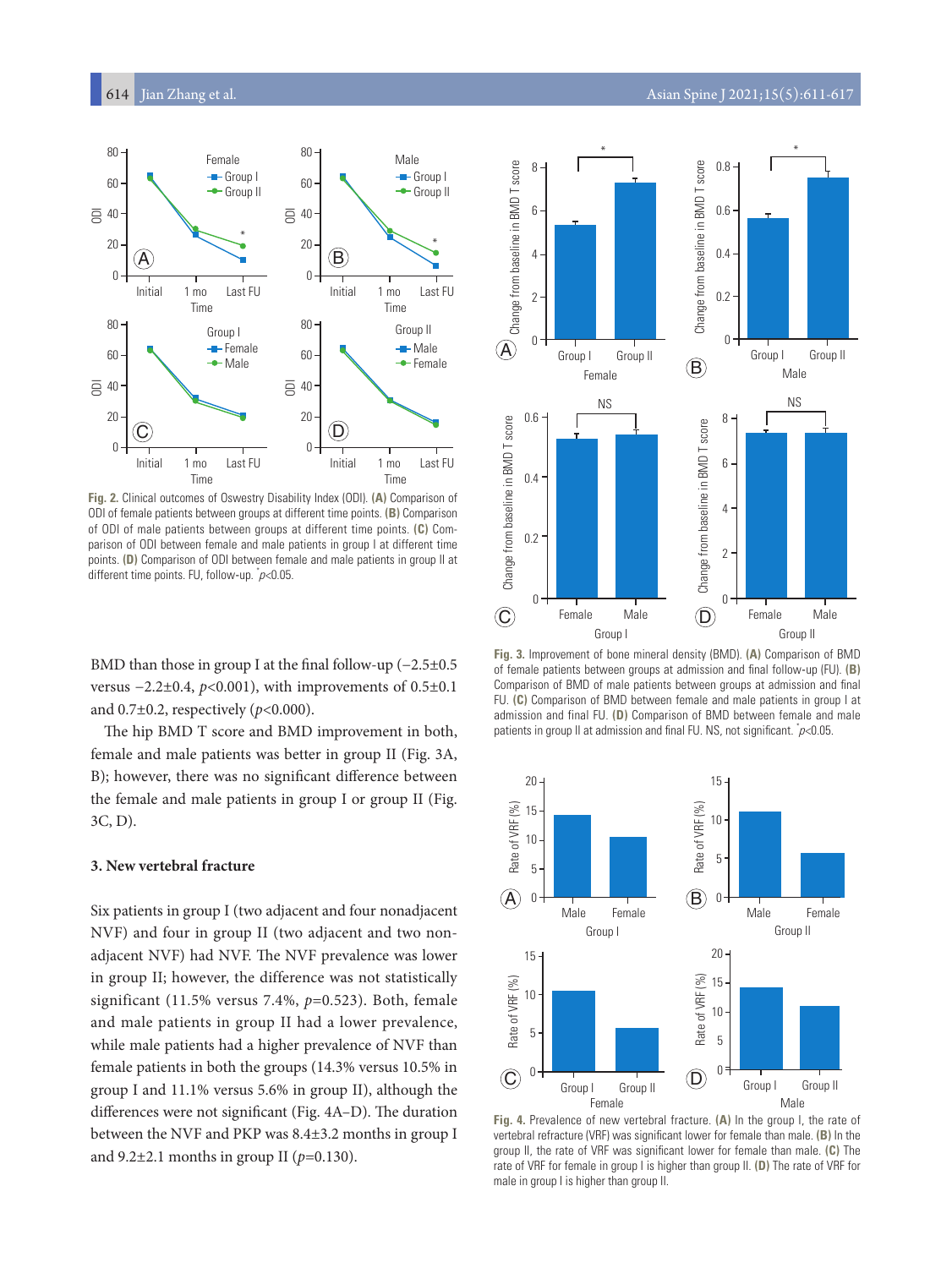

**Fig. 2.** Clinical outcomes of Oswestry Disability Index (ODI). **(A)** Comparison of ODI of female patients between groups at different time points. **(B)** Comparison of ODI of male patients between groups at different time points. **(C)** Comparison of ODI between female and male patients in group I at different time points. **(D)** Comparison of ODI between female and male patients in group II at different time points. FU, follow-up. \* p<0.05.

BMD than those in group I at the final follow-up (−2.5±0.5 versus −2.2±0.4, *p*<0.001), with improvements of 0.5±0.1 and 0.7±0.2, respectively (*p*<0.000).

The hip BMD T score and BMD improvement in both, female and male patients was better in group II (Fig. 3A, B); however, there was no significant difference between the female and male patients in group I or group II (Fig. 3C, D).

#### **3. New vertebral fracture**

Six patients in group I (two adjacent and four nonadjacent NVF) and four in group II (two adjacent and two nonadjacent NVF) had NVF. The NVF prevalence was lower in group II; however, the difference was not statistically significant (11.5% versus 7.4%, *p*=0.523). Both, female and male patients in group II had a lower prevalence, while male patients had a higher prevalence of NVF than female patients in both the groups (14.3% versus 10.5% in group I and 11.1% versus 5.6% in group II), although the differences were not significant (Fig. 4A–D). The duration between the NVF and PKP was 8.4±3.2 months in group I and 9.2±2.1 months in group II (*p*=0.130).



**Fig. 3.** Improvement of bone mineral density (BMD). **(A)** Comparison of BMD of female patients between groups at admission and final follow-up (FU). **(B)**  Comparison of BMD of male patients between groups at admission and final FU. **(C)** Comparison of BMD between female and male patients in group I at admission and final FU. **(D)** Comparison of BMD between female and male patients in group II at admission and final FU. NS, not significant.  $\bar{p}$ <0.05.



**Fig. 4.** Prevalence of new vertebral fracture. **(A)** In the group I, the rate of vertebral refracture (VRF) was significant lower for female than male. **(B)** In the group II, the rate of VRF was significant lower for female than male. **(C)** The rate of VRF for female in group I is higher than group II. **(D)** The rate of VRF for male in group I is higher than group II.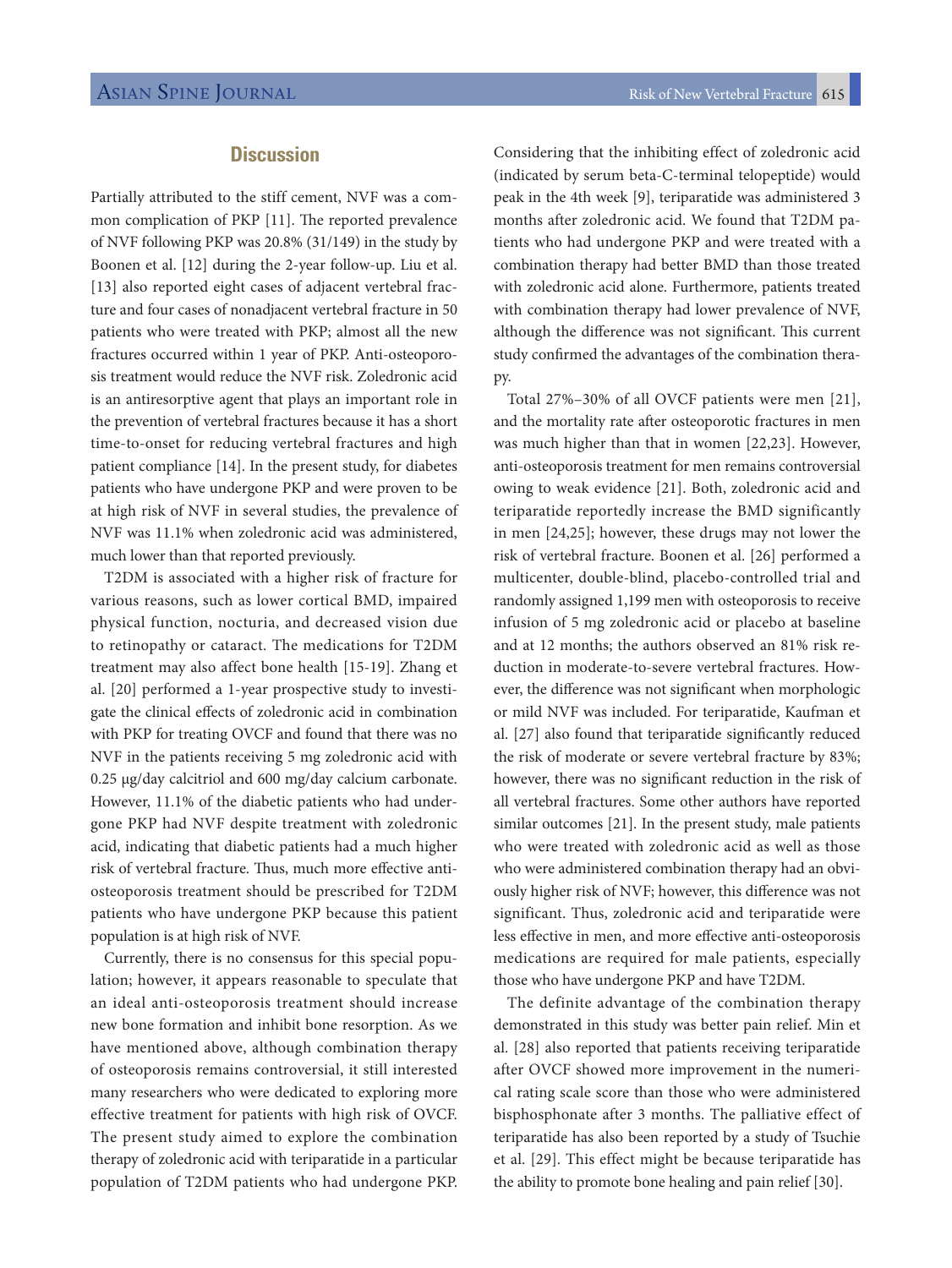# **Discussion**

Partially attributed to the stiff cement, NVF was a common complication of PKP [11]. The reported prevalence of NVF following PKP was 20.8% (31/149) in the study by Boonen et al. [12] during the 2-year follow-up. Liu et al. [13] also reported eight cases of adjacent vertebral fracture and four cases of nonadjacent vertebral fracture in 50 patients who were treated with PKP; almost all the new fractures occurred within 1 year of PKP. Anti-osteoporosis treatment would reduce the NVF risk. Zoledronic acid is an antiresorptive agent that plays an important role in the prevention of vertebral fractures because it has a short time-to-onset for reducing vertebral fractures and high patient compliance [14]. In the present study, for diabetes patients who have undergone PKP and were proven to be at high risk of NVF in several studies, the prevalence of NVF was 11.1% when zoledronic acid was administered, much lower than that reported previously.

T2DM is associated with a higher risk of fracture for various reasons, such as lower cortical BMD, impaired physical function, nocturia, and decreased vision due to retinopathy or cataract. The medications for T2DM treatment may also affect bone health [15-19]. Zhang et al. [20] performed a 1-year prospective study to investigate the clinical effects of zoledronic acid in combination with PKP for treating OVCF and found that there was no NVF in the patients receiving 5 mg zoledronic acid with 0.25 μg/day calcitriol and 600 mg/day calcium carbonate. However, 11.1% of the diabetic patients who had undergone PKP had NVF despite treatment with zoledronic acid, indicating that diabetic patients had a much higher risk of vertebral fracture. Thus, much more effective antiosteoporosis treatment should be prescribed for T2DM patients who have undergone PKP because this patient population is at high risk of NVF.

Currently, there is no consensus for this special population; however, it appears reasonable to speculate that an ideal anti-osteoporosis treatment should increase new bone formation and inhibit bone resorption. As we have mentioned above, although combination therapy of osteoporosis remains controversial, it still interested many researchers who were dedicated to exploring more effective treatment for patients with high risk of OVCF. The present study aimed to explore the combination therapy of zoledronic acid with teriparatide in a particular population of T2DM patients who had undergone PKP.

Considering that the inhibiting effect of zoledronic acid (indicated by serum beta-C-terminal telopeptide) would peak in the 4th week [9], teriparatide was administered 3 months after zoledronic acid. We found that T2DM patients who had undergone PKP and were treated with a combination therapy had better BMD than those treated with zoledronic acid alone. Furthermore, patients treated with combination therapy had lower prevalence of NVF, although the difference was not significant. This current study confirmed the advantages of the combination therapy.

Total 27%–30% of all OVCF patients were men [21], and the mortality rate after osteoporotic fractures in men was much higher than that in women [22,23]. However, anti-osteoporosis treatment for men remains controversial owing to weak evidence [21]. Both, zoledronic acid and teriparatide reportedly increase the BMD significantly in men [24,25]; however, these drugs may not lower the risk of vertebral fracture. Boonen et al. [26] performed a multicenter, double-blind, placebo-controlled trial and randomly assigned 1,199 men with osteoporosis to receive infusion of 5 mg zoledronic acid or placebo at baseline and at 12 months; the authors observed an 81% risk reduction in moderate-to-severe vertebral fractures. However, the difference was not significant when morphologic or mild NVF was included. For teriparatide, Kaufman et al. [27] also found that teriparatide significantly reduced the risk of moderate or severe vertebral fracture by 83%; however, there was no significant reduction in the risk of all vertebral fractures. Some other authors have reported similar outcomes [21]. In the present study, male patients who were treated with zoledronic acid as well as those who were administered combination therapy had an obviously higher risk of NVF; however, this difference was not significant. Thus, zoledronic acid and teriparatide were less effective in men, and more effective anti-osteoporosis medications are required for male patients, especially those who have undergone PKP and have T2DM.

The definite advantage of the combination therapy demonstrated in this study was better pain relief. Min et al. [28] also reported that patients receiving teriparatide after OVCF showed more improvement in the numerical rating scale score than those who were administered bisphosphonate after 3 months. The palliative effect of teriparatide has also been reported by a study of Tsuchie et al. [29]. This effect might be because teriparatide has the ability to promote bone healing and pain relief [30].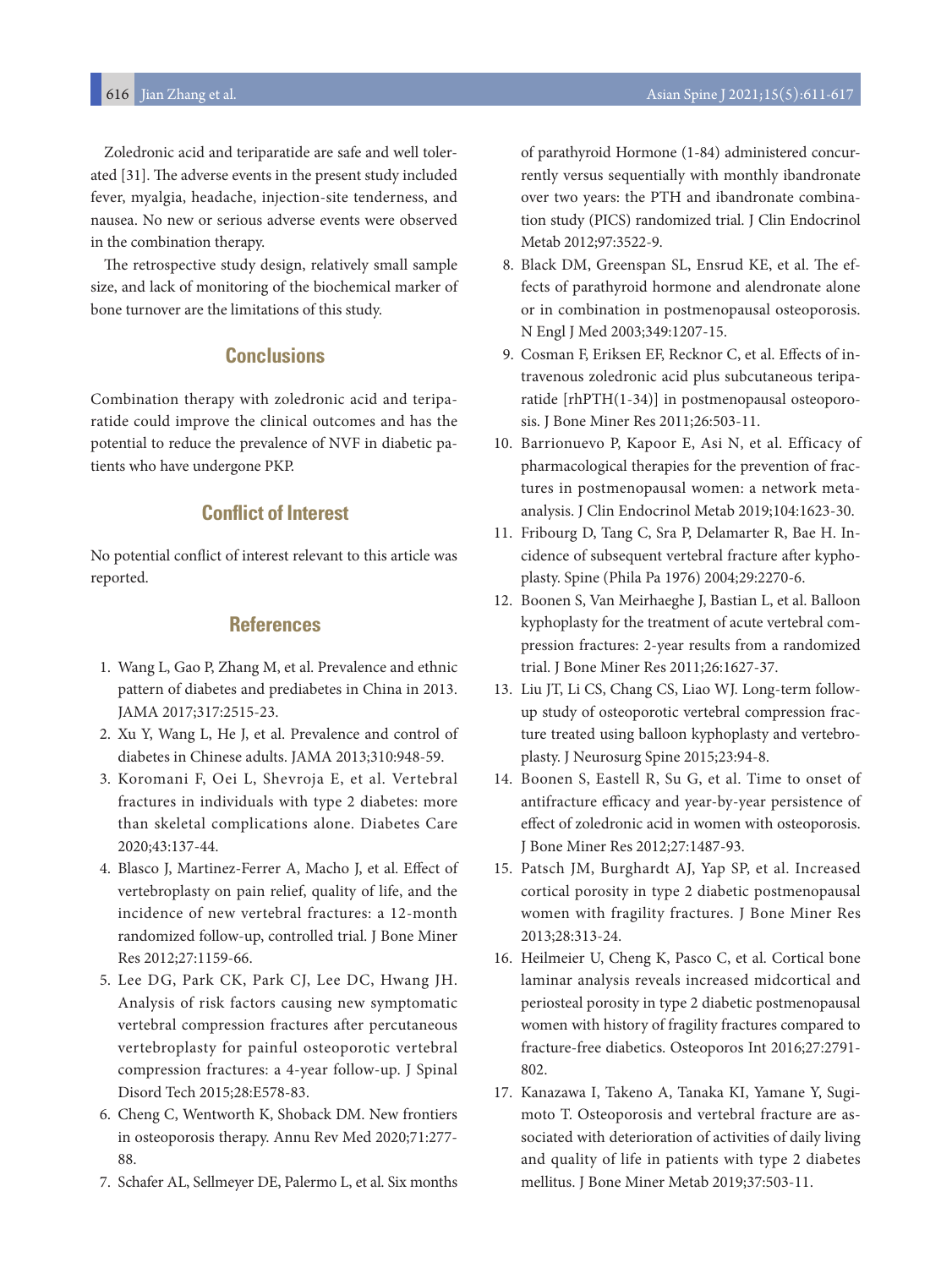Zoledronic acid and teriparatide are safe and well tolerated [31]. The adverse events in the present study included fever, myalgia, headache, injection-site tenderness, and nausea. No new or serious adverse events were observed in the combination therapy.

The retrospective study design, relatively small sample size, and lack of monitoring of the biochemical marker of bone turnover are the limitations of this study.

# **Conclusions**

Combination therapy with zoledronic acid and teriparatide could improve the clinical outcomes and has the potential to reduce the prevalence of NVF in diabetic patients who have undergone PKP.

# **Conflict of Interest**

No potential conflict of interest relevant to this article was reported.

# **References**

- 1. Wang L, Gao P, Zhang M, et al. Prevalence and ethnic pattern of diabetes and prediabetes in China in 2013. JAMA 2017;317:2515-23.
- 2. Xu Y, Wang L, He J, et al. Prevalence and control of diabetes in Chinese adults. JAMA 2013;310:948-59.
- 3. Koromani F, Oei L, Shevroja E, et al. Vertebral fractures in individuals with type 2 diabetes: more than skeletal complications alone. Diabetes Care 2020;43:137-44.
- 4. Blasco J, Martinez-Ferrer A, Macho J, et al. Effect of vertebroplasty on pain relief, quality of life, and the incidence of new vertebral fractures: a 12-month randomized follow-up, controlled trial. J Bone Miner Res 2012;27:1159-66.
- 5. Lee DG, Park CK, Park CJ, Lee DC, Hwang JH. Analysis of risk factors causing new symptomatic vertebral compression fractures after percutaneous vertebroplasty for painful osteoporotic vertebral compression fractures: a 4-year follow-up. J Spinal Disord Tech 2015;28:E578-83.
- 6. Cheng C, Wentworth K, Shoback DM. New frontiers in osteoporosis therapy. Annu Rev Med 2020;71:277- 88.
- 7. Schafer AL, Sellmeyer DE, Palermo L, et al. Six months

of parathyroid Hormone (1-84) administered concurrently versus sequentially with monthly ibandronate over two years: the PTH and ibandronate combination study (PICS) randomized trial. J Clin Endocrinol Metab 2012;97:3522-9.

- 8. Black DM, Greenspan SL, Ensrud KE, et al. The effects of parathyroid hormone and alendronate alone or in combination in postmenopausal osteoporosis. N Engl J Med 2003;349:1207-15.
- 9. Cosman F, Eriksen EF, Recknor C, et al. Effects of intravenous zoledronic acid plus subcutaneous teriparatide [rhPTH(1-34)] in postmenopausal osteoporosis. J Bone Miner Res 2011;26:503-11.
- 10. Barrionuevo P, Kapoor E, Asi N, et al. Efficacy of pharmacological therapies for the prevention of fractures in postmenopausal women: a network metaanalysis. J Clin Endocrinol Metab 2019;104:1623-30.
- 11. Fribourg D, Tang C, Sra P, Delamarter R, Bae H. Incidence of subsequent vertebral fracture after kyphoplasty. Spine (Phila Pa 1976) 2004;29:2270-6.
- 12. Boonen S, Van Meirhaeghe J, Bastian L, et al. Balloon kyphoplasty for the treatment of acute vertebral compression fractures: 2-year results from a randomized trial. J Bone Miner Res 2011;26:1627-37.
- 13. Liu JT, Li CS, Chang CS, Liao WJ. Long-term followup study of osteoporotic vertebral compression fracture treated using balloon kyphoplasty and vertebroplasty. J Neurosurg Spine 2015;23:94-8.
- 14. Boonen S, Eastell R, Su G, et al. Time to onset of antifracture efficacy and year-by-year persistence of effect of zoledronic acid in women with osteoporosis. J Bone Miner Res 2012;27:1487-93.
- 15. Patsch JM, Burghardt AJ, Yap SP, et al. Increased cortical porosity in type 2 diabetic postmenopausal women with fragility fractures. J Bone Miner Res 2013;28:313-24.
- 16. Heilmeier U, Cheng K, Pasco C, et al. Cortical bone laminar analysis reveals increased midcortical and periosteal porosity in type 2 diabetic postmenopausal women with history of fragility fractures compared to fracture-free diabetics. Osteoporos Int 2016;27:2791- 802.
- 17. Kanazawa I, Takeno A, Tanaka KI, Yamane Y, Sugimoto T. Osteoporosis and vertebral fracture are associated with deterioration of activities of daily living and quality of life in patients with type 2 diabetes mellitus. J Bone Miner Metab 2019;37:503-11.